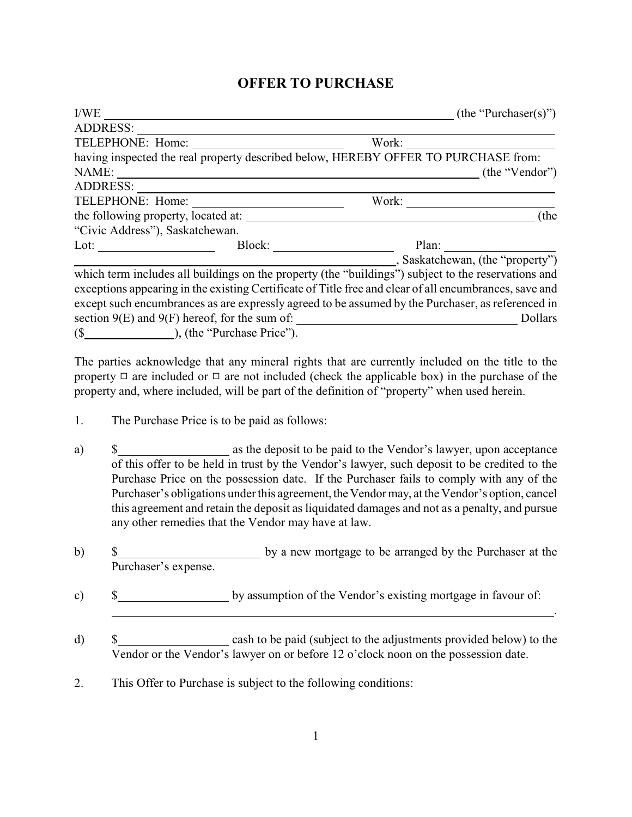## **OFFER TO PURCHASE**

|                                                                                                                                                                                                                                |                        | (the "Purchaser(s)"                                                                                                                                                                                                                                                                                                                                                                                                  |      |
|--------------------------------------------------------------------------------------------------------------------------------------------------------------------------------------------------------------------------------|------------------------|----------------------------------------------------------------------------------------------------------------------------------------------------------------------------------------------------------------------------------------------------------------------------------------------------------------------------------------------------------------------------------------------------------------------|------|
| ADDRESS:                                                                                                                                                                                                                       |                        |                                                                                                                                                                                                                                                                                                                                                                                                                      |      |
|                                                                                                                                                                                                                                |                        |                                                                                                                                                                                                                                                                                                                                                                                                                      |      |
|                                                                                                                                                                                                                                |                        | having inspected the real property described below, HEREBY OFFER TO PURCHASE from:                                                                                                                                                                                                                                                                                                                                   |      |
| NAME:                                                                                                                                                                                                                          |                        | $\frac{1}{\sqrt{1-\frac{1}{2}}\sqrt{1-\frac{1}{2}}\sqrt{1-\frac{1}{2}}\sqrt{1-\frac{1}{2}}\sqrt{1-\frac{1}{2}}\sqrt{1-\frac{1}{2}}\sqrt{1-\frac{1}{2}}\sqrt{1-\frac{1}{2}}\sqrt{1-\frac{1}{2}}\sqrt{1-\frac{1}{2}}\sqrt{1-\frac{1}{2}}\sqrt{1-\frac{1}{2}}\sqrt{1-\frac{1}{2}}\sqrt{1-\frac{1}{2}}\sqrt{1-\frac{1}{2}}\sqrt{1-\frac{1}{2}}\sqrt{1-\frac{1}{2}}\sqrt{1-\frac{1}{2}}\sqrt{1-\frac{1}{2}}\sqrt{1-\frac$ |      |
| ADDRESS:                                                                                                                                                                                                                       |                        |                                                                                                                                                                                                                                                                                                                                                                                                                      |      |
|                                                                                                                                                                                                                                |                        |                                                                                                                                                                                                                                                                                                                                                                                                                      |      |
|                                                                                                                                                                                                                                |                        |                                                                                                                                                                                                                                                                                                                                                                                                                      | (the |
| "Civic Address"), Saskatchewan.                                                                                                                                                                                                |                        |                                                                                                                                                                                                                                                                                                                                                                                                                      |      |
| Lot: the contract of the contract of the contract of the contract of the contract of the contract of the contract of the contract of the contract of the contract of the contract of the contract of the contract of the contr | Block: $\qquad \qquad$ |                                                                                                                                                                                                                                                                                                                                                                                                                      |      |
|                                                                                                                                                                                                                                |                        | Saskatchewan, (the "property")                                                                                                                                                                                                                                                                                                                                                                                       |      |
|                                                                                                                                                                                                                                |                        | which term includes all buildings on the property (the "buildings") subject to the reservations and                                                                                                                                                                                                                                                                                                                  |      |
|                                                                                                                                                                                                                                |                        | exceptions appearing in the existing Certificate of Title free and clear of all encumbrances, save and                                                                                                                                                                                                                                                                                                               |      |
|                                                                                                                                                                                                                                |                        | except such encumbrances as are expressly agreed to be assumed by the Purchaser, as referenced in                                                                                                                                                                                                                                                                                                                    |      |
|                                                                                                                                                                                                                                |                        | Dollars                                                                                                                                                                                                                                                                                                                                                                                                              |      |
|                                                                                                                                                                                                                                |                        |                                                                                                                                                                                                                                                                                                                                                                                                                      |      |

The parties acknowledge that any mineral rights that are currently included on the title to the property  $\Box$  are included or  $\Box$  are not included (check the applicable box) in the purchase of the property and, where included, will be part of the definition of "property" when used herein.

- 1. The Purchase Price is to be paid as follows:
- a)  $\$\$  as the deposit to be paid to the Vendor's lawyer, upon acceptance of this offer to be held in trust by the Vendor's lawyer, such deposit to be credited to the Purchase Price on the possession date. If the Purchaser fails to comply with any of the Purchaser's obligations under this agreement, the Vendor may, at the Vendor's option, cancel this agreement and retain the deposit as liquidated damages and not as a penalty, and pursue any other remedies that the Vendor may have at law.
- b)  $\qquad$  \$ by a new mortgage to be arranged by the Purchaser at the Purchaser's expense.
- c)  $\qquad$  \$ by assumption of the Vendor's existing mortgage in favour of:
- d) \$ Vendor or the Vendor's lawyer on or before 12 o'clock noon on the possession date.

.

2. This Offer to Purchase is subject to the following conditions: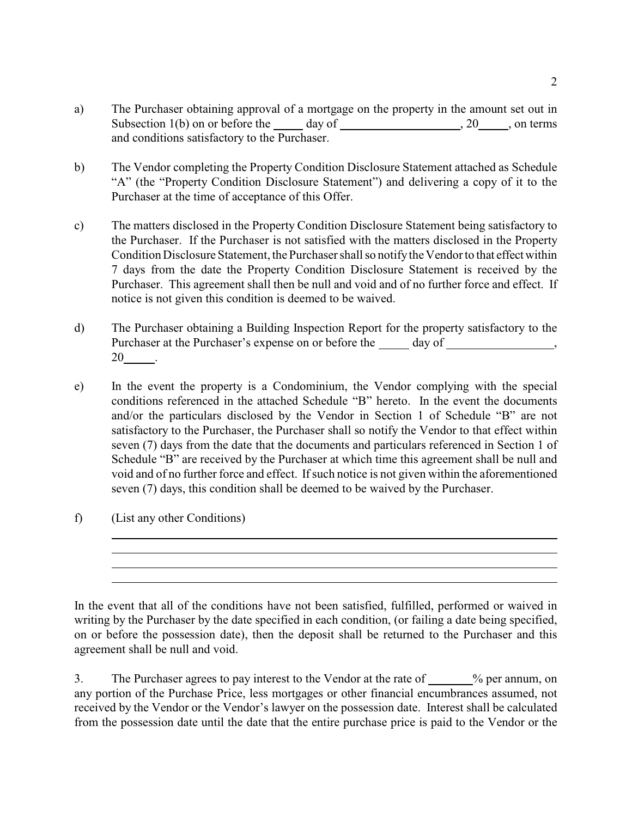- a) The Purchaser obtaining approval of a mortgage on the property in the amount set out in Subsection  $1(b)$  on or before the day of , 20 , on terms and conditions satisfactory to the Purchaser.
- b) The Vendor completing the Property Condition Disclosure Statement attached as Schedule "A" (the "Property Condition Disclosure Statement") and delivering a copy of it to the Purchaser at the time of acceptance of this Offer.
- c) The matters disclosed in the Property Condition Disclosure Statement being satisfactory to the Purchaser. If the Purchaser is not satisfied with the matters disclosed in the Property Condition Disclosure Statement, the Purchaser shall so notify the Vendor to that effect within 7 days from the date the Property Condition Disclosure Statement is received by the Purchaser. This agreement shall then be null and void and of no further force and effect. If notice is not given this condition is deemed to be waived.
- d) The Purchaser obtaining a Building Inspection Report for the property satisfactory to the Purchaser at the Purchaser's expense on or before the day of , 20 .
- e) In the event the property is a Condominium, the Vendor complying with the special conditions referenced in the attached Schedule "B" hereto. In the event the documents and/or the particulars disclosed by the Vendor in Section 1 of Schedule "B" are not satisfactory to the Purchaser, the Purchaser shall so notify the Vendor to that effect within seven (7) days from the date that the documents and particulars referenced in Section 1 of Schedule "B" are received by the Purchaser at which time this agreement shall be null and void and of no further force and effect. If such notice is not given within the aforementioned seven (7) days, this condition shall be deemed to be waived by the Purchaser.
- f) (List any other Conditions)

 $\overline{a}$ 

In the event that all of the conditions have not been satisfied, fulfilled, performed or waived in writing by the Purchaser by the date specified in each condition, (or failing a date being specified, on or before the possession date), then the deposit shall be returned to the Purchaser and this agreement shall be null and void.

3. The Purchaser agrees to pay interest to the Vendor at the rate of \_\_\_\_\_% per annum, on any portion of the Purchase Price, less mortgages or other financial encumbrances assumed, not received by the Vendor or the Vendor's lawyer on the possession date. Interest shall be calculated from the possession date until the date that the entire purchase price is paid to the Vendor or the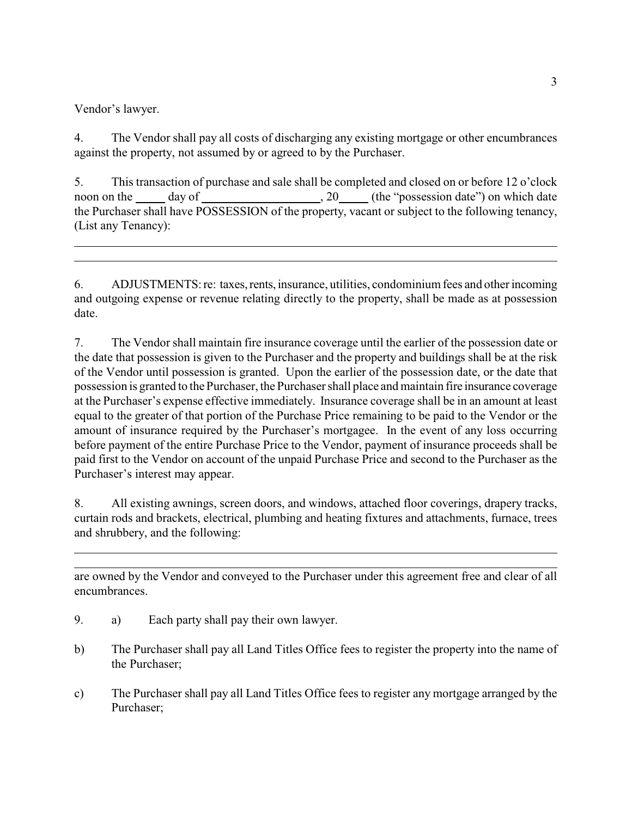Vendor's lawyer.

 $\overline{a}$ 

 $\overline{a}$ 

4. The Vendor shall pay all costs of discharging any existing mortgage or other encumbrances against the property, not assumed by or agreed to by the Purchaser.

5. This transaction of purchase and sale shall be completed and closed on or before 12 o'clock noon on the day of , 20 (the "possession date") on which date the Purchaser shall have POSSESSION of the property, vacant or subject to the following tenancy, (List any Tenancy):

6. ADJUSTMENTS: re: taxes, rents, insurance, utilities, condominium fees and other incoming and outgoing expense or revenue relating directly to the property, shall be made as at possession date.

7. The Vendor shall maintain fire insurance coverage until the earlier of the possession date or the date that possession is given to the Purchaser and the property and buildings shall be at the risk of the Vendor until possession is granted. Upon the earlier of the possession date, or the date that possession is granted to the Purchaser, the Purchaser shall place and maintain fire insurance coverage at the Purchaser's expense effective immediately. Insurance coverage shall be in an amount at least equal to the greater of that portion of the Purchase Price remaining to be paid to the Vendor or the amount of insurance required by the Purchaser's mortgagee. In the event of any loss occurring before payment of the entire Purchase Price to the Vendor, payment of insurance proceeds shall be paid first to the Vendor on account of the unpaid Purchase Price and second to the Purchaser as the Purchaser's interest may appear.

8. All existing awnings, screen doors, and windows, attached floor coverings, drapery tracks, curtain rods and brackets, electrical, plumbing and heating fixtures and attachments, furnace, trees and shrubbery, and the following:

are owned by the Vendor and conveyed to the Purchaser under this agreement free and clear of all encumbrances.

- 9. a) Each party shall pay their own lawyer.
- b) The Purchaser shall pay all Land Titles Office fees to register the property into the name of the Purchaser;
- c) The Purchaser shall pay all Land Titles Office fees to register any mortgage arranged by the Purchaser;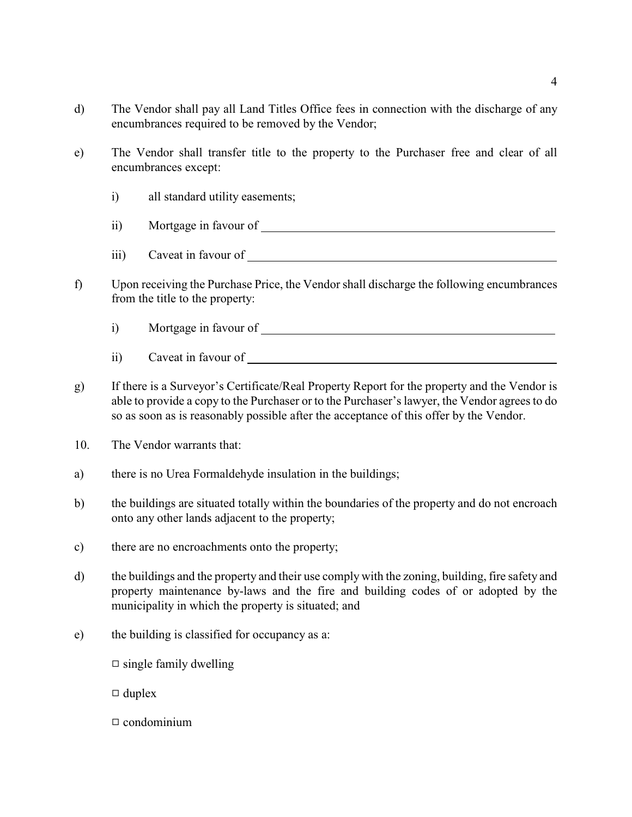- d) The Vendor shall pay all Land Titles Office fees in connection with the discharge of any encumbrances required to be removed by the Vendor;
- e) The Vendor shall transfer title to the property to the Purchaser free and clear of all encumbrances except:
	- i) all standard utility easements;
	- ii) Mortgage in favour of
	- iii) Caveat in favour of
- f) Upon receiving the Purchase Price, the Vendorshall discharge the following encumbrances from the title to the property:
	- i) Mortgage in favour of
	- ii) Caveat in favour of
- g) If there is a Surveyor's Certificate/Real Property Report for the property and the Vendor is able to provide a copy to the Purchaser or to the Purchaser's lawyer, the Vendor agrees to do so as soon as is reasonably possible after the acceptance of this offer by the Vendor.
- 10. The Vendor warrants that:
- a) there is no Urea Formaldehyde insulation in the buildings;
- b) the buildings are situated totally within the boundaries of the property and do not encroach onto any other lands adjacent to the property;
- c) there are no encroachments onto the property;
- d) the buildings and the property and their use comply with the zoning, building, fire safety and property maintenance by-laws and the fire and building codes of or adopted by the municipality in which the property is situated; and
- e) the building is classified for occupancy as a:
	- $\Box$  single family dwelling
	- $\Box$  duplex
	- $\Box$  condominium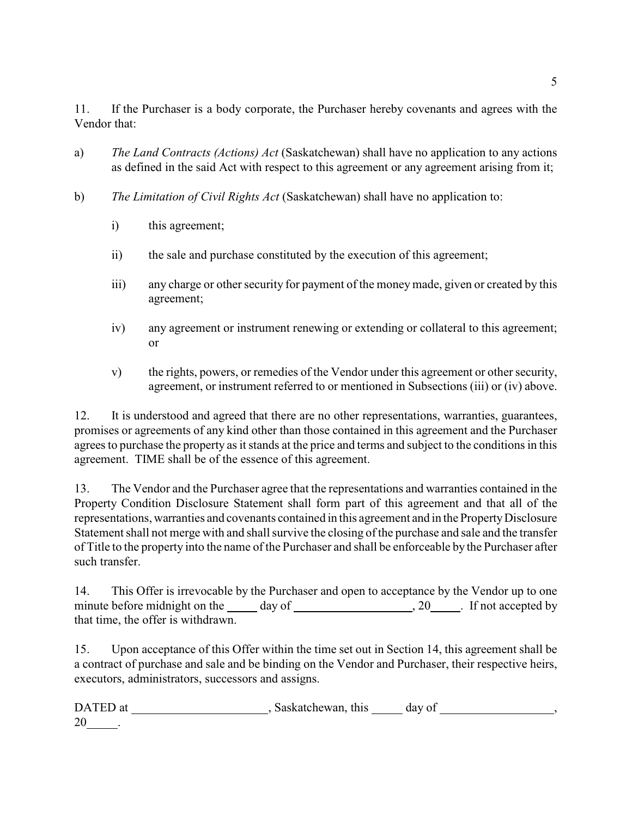11. If the Purchaser is a body corporate, the Purchaser hereby covenants and agrees with the Vendor that:

- a) *The Land Contracts (Actions) Act* (Saskatchewan) shall have no application to any actions as defined in the said Act with respect to this agreement or any agreement arising from it;
- b) *The Limitation of Civil Rights Act* (Saskatchewan) shall have no application to:
	- i) this agreement;
	- ii) the sale and purchase constituted by the execution of this agreement;
	- iii) any charge or other security for payment of the money made, given or created by this agreement;
	- iv) any agreement or instrument renewing or extending or collateral to this agreement; or
	- v) the rights, powers, or remedies of the Vendor under this agreement or other security, agreement, or instrument referred to or mentioned in Subsections (iii) or (iv) above.

12. It is understood and agreed that there are no other representations, warranties, guarantees, promises or agreements of any kind other than those contained in this agreement and the Purchaser agrees to purchase the property as it stands at the price and terms and subject to the conditions in this agreement. TIME shall be of the essence of this agreement.

13. The Vendor and the Purchaser agree that the representations and warranties contained in the Property Condition Disclosure Statement shall form part of this agreement and that all of the representations, warranties and covenants contained in this agreement and in the Property Disclosure Statement shall not merge with and shall survive the closing of the purchase and sale and the transfer of Title to the property into the name of the Purchaser and shall be enforceable by the Purchaser after such transfer.

14. This Offer is irrevocable by the Purchaser and open to acceptance by the Vendor up to one minute before midnight on the day of , 20 . If not accepted by that time, the offer is withdrawn.

15. Upon acceptance of this Offer within the time set out in Section 14, this agreement shall be a contract of purchase and sale and be binding on the Vendor and Purchaser, their respective heirs, executors, administrators, successors and assigns.

| DATED at | Saskatchewan, this | day of |  |
|----------|--------------------|--------|--|
| 20       |                    |        |  |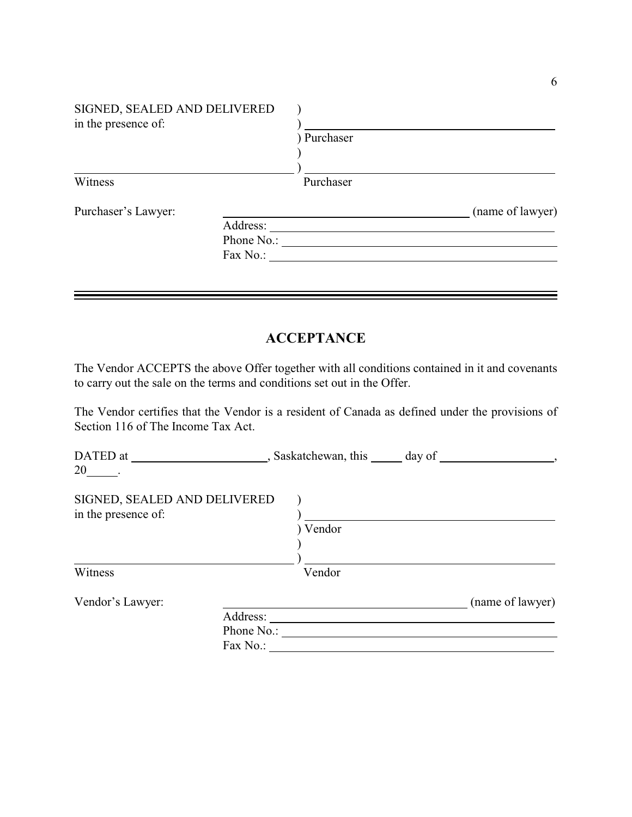| SIGNED, SEALED AND DELIVERED<br>in the presence of: |            |             |                  |
|-----------------------------------------------------|------------|-------------|------------------|
|                                                     |            | ) Purchaser |                  |
| Witness                                             |            | Purchaser   |                  |
| Purchaser's Lawyer:                                 |            |             | (name of lawyer) |
|                                                     | Address:   |             |                  |
|                                                     | Phone No.: |             |                  |
|                                                     | Fax No.:   |             |                  |

# **ACCEPTANCE**

The Vendor ACCEPTS the above Offer together with all conditions contained in it and covenants to carry out the sale on the terms and conditions set out in the Offer.

The Vendor certifies that the Vendor is a resident of Canada as defined under the provisions of Section 116 of The Income Tax Act.

| , Saskatchewan, this         | day of                 |                  |
|------------------------------|------------------------|------------------|
|                              |                        |                  |
| SIGNED, SEALED AND DELIVERED |                        |                  |
|                              |                        |                  |
|                              |                        |                  |
|                              |                        |                  |
|                              |                        |                  |
| Vendor                       |                        |                  |
|                              |                        | (name of lawyer) |
| Address:                     |                        |                  |
|                              |                        |                  |
| Fax No.:                     |                        |                  |
|                              | ) Vendor<br>Phone No.: |                  |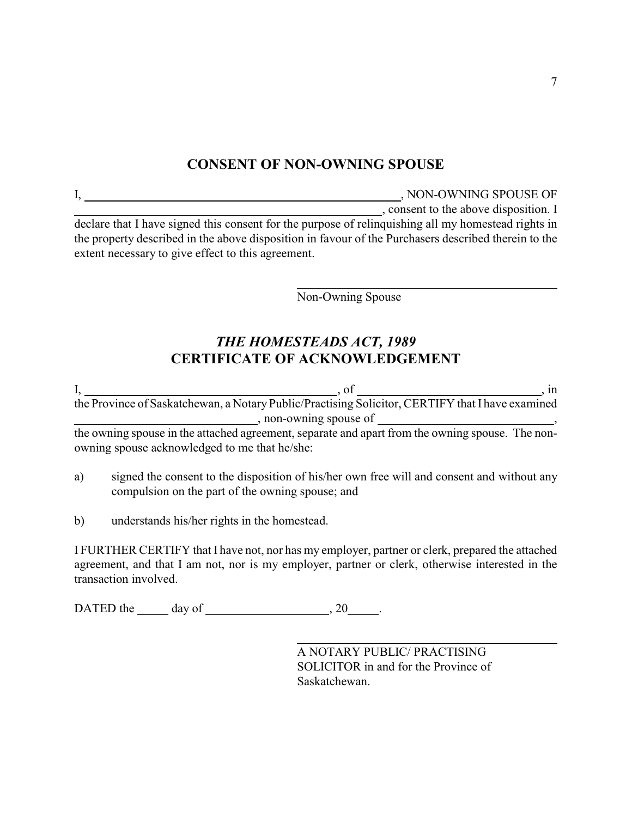# **CONSENT OF NON-OWNING SPOUSE**

| Ī,                                                 | , NON-OWNING SPOUSE OF                                                                               |
|----------------------------------------------------|------------------------------------------------------------------------------------------------------|
|                                                    | , consent to the above disposition. I                                                                |
|                                                    | declare that I have signed this consent for the purpose of relinquishing all my homestead rights in  |
|                                                    | the property described in the above disposition in favour of the Purchasers described therein to the |
| extent necessary to give effect to this agreement. |                                                                                                      |

 $\overline{a}$ 

Non-Owning Spouse

# *THE HOMESTEADS ACT, 1989* **CERTIFICATE OF ACKNOWLEDGEMENT**

I, , of , in the Province of Saskatchewan, a Notary Public/Practising Solicitor, CERTIFY that I have examined , non-owning spouse of  $\overline{\phantom{a}}$ the owning spouse in the attached agreement, separate and apart from the owning spouse. The nonowning spouse acknowledged to me that he/she:

- a) signed the consent to the disposition of his/her own free will and consent and without any compulsion on the part of the owning spouse; and
- b) understands his/her rights in the homestead.

I FURTHER CERTIFY that I have not, nor has my employer, partner or clerk, prepared the attached agreement, and that I am not, nor is my employer, partner or clerk, otherwise interested in the transaction involved.

DATED the  $\_\_\_$  day of  $\_\_\_\_\_\_$ , 20 $\_\_\_\_\.\$ 

 $\overline{a}$ A NOTARY PUBLIC/ PRACTISING SOLICITOR in and for the Province of Saskatchewan.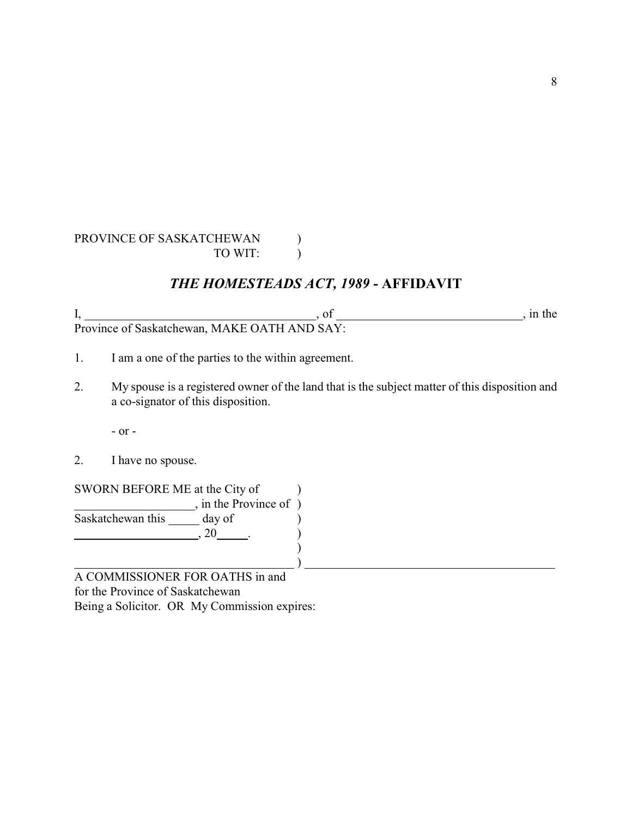#### PROVINCE OF SASKATCHEWAN ) TO WIT:

# *THE HOMESTEADS ACT, 1989* **- AFFIDAVIT**

| Province of Saskatchewan, MAKE OATH AND SAY: |  |
|----------------------------------------------|--|

- 1. I am a one of the parties to the within agreement.
- 2. My spouse is a registered owner of the land that is the subject matter of this disposition and a co-signator of this disposition.

- or -

2. I have no spouse.

SWORN BEFORE ME at the City of  $\qquad$  )  $\overline{\phantom{a}}$ , in the Province of  $\overline{\phantom{a}}$ Saskatchewan this day of )  $\frac{1}{20}$ ,  $20$   $\frac{1}{20}$ )  $\qquad \qquad \qquad \qquad \qquad$ 

A COMMISSIONER FOR OATHS in and for the Province of Saskatchewan Being a Solicitor. OR My Commission expires: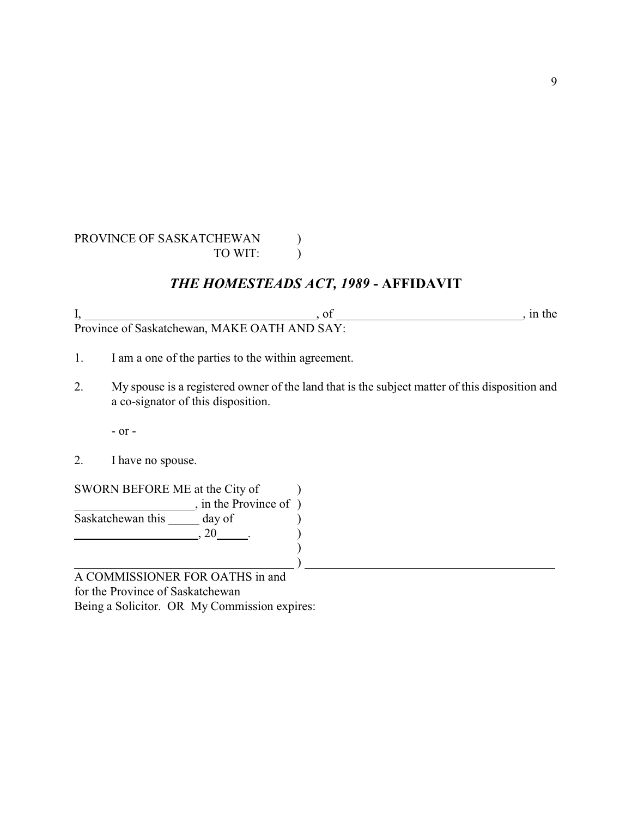#### PROVINCE OF SASKATCHEWAN ) TO WIT:

# *THE HOMESTEADS ACT, 1989* **- AFFIDAVIT**

| L.                                           |  |
|----------------------------------------------|--|
| Province of Saskatchewan, MAKE OATH AND SAY: |  |

- 1. I am a one of the parties to the within agreement.
- 2. My spouse is a registered owner of the land that is the subject matter of this disposition and a co-signator of this disposition.

- or -

2. I have no spouse.

SWORN BEFORE ME at the City of  $\qquad$  )  $\overline{\phantom{a}}$ , in the Province of  $\overline{\phantom{a}}$ Saskatchewan this day of )  $\frac{1}{20}$ , 20  $\frac{1}{20}$ )  $\qquad \qquad \qquad \qquad \qquad$ 

A COMMISSIONER FOR OATHS in and for the Province of Saskatchewan Being a Solicitor. OR My Commission expires: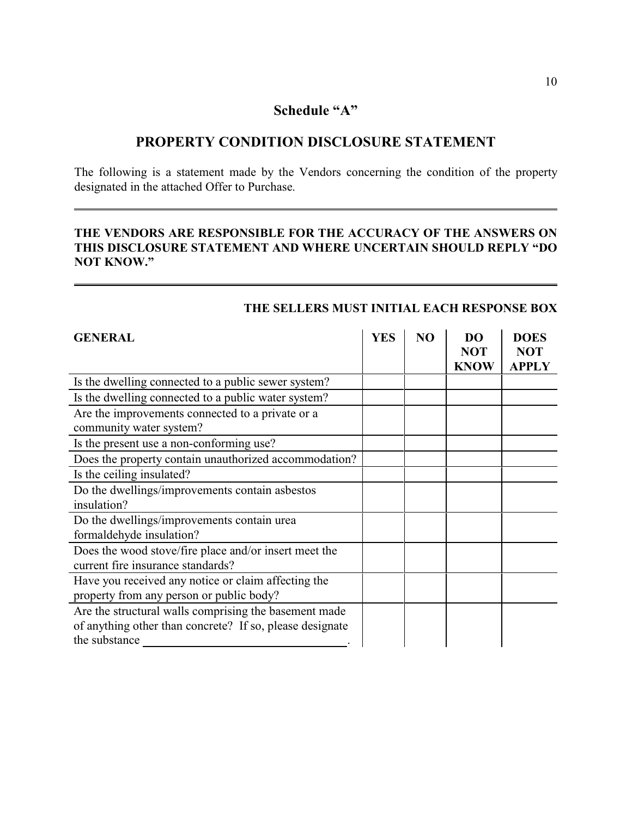### **Schedule "A"**

## **PROPERTY CONDITION DISCLOSURE STATEMENT**

The following is a statement made by the Vendors concerning the condition of the property designated in the attached Offer to Purchase.

#### **THE VENDORS ARE RESPONSIBLE FOR THE ACCURACY OF THE ANSWERS ON THIS DISCLOSURE STATEMENT AND WHERE UNCERTAIN SHOULD REPLY "DO NOT KNOW."**

| <b>GENERAL</b>                                                                                                                     | <b>YES</b> | N <sub>O</sub> | DO<br><b>NOT</b><br><b>KNOW</b> | <b>DOES</b><br><b>NOT</b><br><b>APPLY</b> |
|------------------------------------------------------------------------------------------------------------------------------------|------------|----------------|---------------------------------|-------------------------------------------|
| Is the dwelling connected to a public sewer system?                                                                                |            |                |                                 |                                           |
| Is the dwelling connected to a public water system?                                                                                |            |                |                                 |                                           |
| Are the improvements connected to a private or a                                                                                   |            |                |                                 |                                           |
| community water system?                                                                                                            |            |                |                                 |                                           |
| Is the present use a non-conforming use?                                                                                           |            |                |                                 |                                           |
| Does the property contain unauthorized accommodation?                                                                              |            |                |                                 |                                           |
| Is the ceiling insulated?                                                                                                          |            |                |                                 |                                           |
| Do the dwellings/improvements contain asbestos<br>insulation?                                                                      |            |                |                                 |                                           |
| Do the dwellings/improvements contain urea<br>formaldehyde insulation?                                                             |            |                |                                 |                                           |
| Does the wood stove/fire place and/or insert meet the<br>current fire insurance standards?                                         |            |                |                                 |                                           |
| Have you received any notice or claim affecting the<br>property from any person or public body?                                    |            |                |                                 |                                           |
| Are the structural walls comprising the basement made<br>of anything other than concrete? If so, please designate<br>the substance |            |                |                                 |                                           |

### **THE SELLERS MUST INITIAL EACH RESPONSE BOX**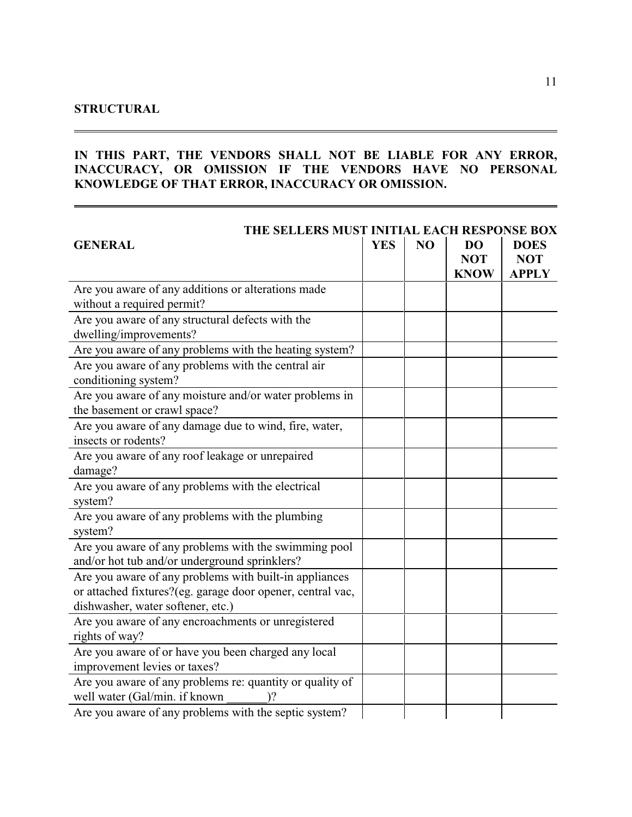#### **STRUCTURAL**

#### **IN THIS PART, THE VENDORS SHALL NOT BE LIABLE FOR ANY ERROR, INACCURACY, OR OMISSION IF THE VENDORS HAVE NO PERSONAL KNOWLEDGE OF THAT ERROR, INACCURACY OR OMISSION.**

| THE SELLERS MUST INITIAL EACH RESPONSE BOX                                                                                                                |            |    |                                        |                                           |
|-----------------------------------------------------------------------------------------------------------------------------------------------------------|------------|----|----------------------------------------|-------------------------------------------|
| <b>GENERAL</b>                                                                                                                                            | <b>YES</b> | NO | <b>DO</b><br><b>NOT</b><br><b>KNOW</b> | <b>DOES</b><br><b>NOT</b><br><b>APPLY</b> |
| Are you aware of any additions or alterations made<br>without a required permit?                                                                          |            |    |                                        |                                           |
| Are you aware of any structural defects with the<br>dwelling/improvements?                                                                                |            |    |                                        |                                           |
| Are you aware of any problems with the heating system?<br>Are you aware of any problems with the central air<br>conditioning system?                      |            |    |                                        |                                           |
| Are you aware of any moisture and/or water problems in<br>the basement or crawl space?                                                                    |            |    |                                        |                                           |
| Are you aware of any damage due to wind, fire, water,<br>insects or rodents?                                                                              |            |    |                                        |                                           |
| Are you aware of any roof leakage or unrepaired<br>damage?                                                                                                |            |    |                                        |                                           |
| Are you aware of any problems with the electrical<br>system?                                                                                              |            |    |                                        |                                           |
| Are you aware of any problems with the plumbing<br>system?                                                                                                |            |    |                                        |                                           |
| Are you aware of any problems with the swimming pool<br>and/or hot tub and/or underground sprinklers?                                                     |            |    |                                        |                                           |
| Are you aware of any problems with built-in appliances<br>or attached fixtures?(eg. garage door opener, central vac,<br>dishwasher, water softener, etc.) |            |    |                                        |                                           |
| Are you aware of any encroachments or unregistered<br>rights of way?                                                                                      |            |    |                                        |                                           |
| Are you aware of or have you been charged any local<br>improvement levies or taxes?                                                                       |            |    |                                        |                                           |
| Are you aware of any problems re: quantity or quality of<br>well water (Gal/min. if known                                                                 |            |    |                                        |                                           |
| Are you aware of any problems with the septic system?                                                                                                     |            |    |                                        |                                           |

 $\equiv$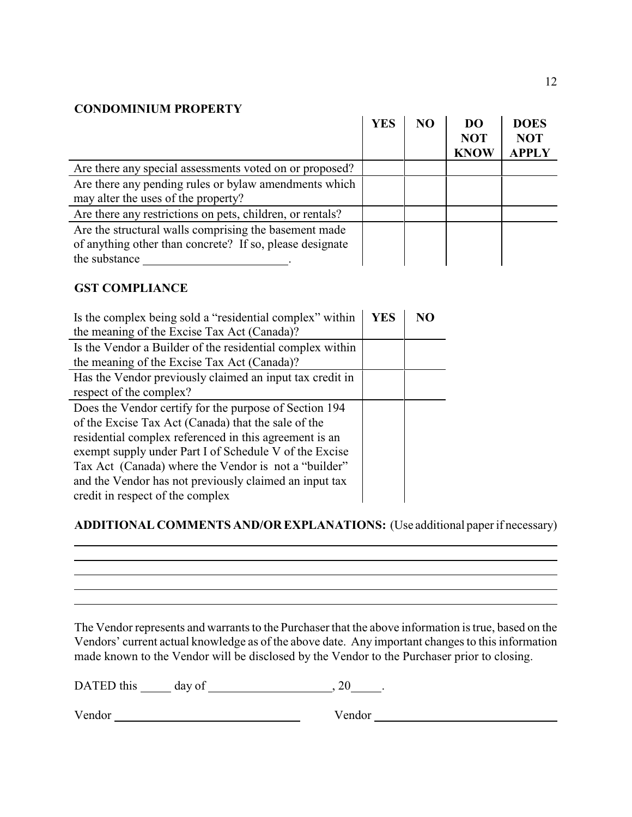#### **CONDOMINIUM PROPERTY**

|                                                           | <b>YES</b> | NO | <b>DO</b><br><b>NOT</b><br><b>KNOW</b> | <b>DOES</b><br><b>NOT</b><br><b>APPLY</b> |
|-----------------------------------------------------------|------------|----|----------------------------------------|-------------------------------------------|
| Are there any special assessments voted on or proposed?   |            |    |                                        |                                           |
| Are there any pending rules or bylaw amendments which     |            |    |                                        |                                           |
| may alter the uses of the property?                       |            |    |                                        |                                           |
| Are there any restrictions on pets, children, or rentals? |            |    |                                        |                                           |
| Are the structural walls comprising the basement made     |            |    |                                        |                                           |
| of anything other than concrete? If so, please designate  |            |    |                                        |                                           |
| the substance                                             |            |    |                                        |                                           |

#### **GST COMPLIANCE**

 $\overline{a}$ 

| Is the complex being sold a "residential complex" within<br>the meaning of the Excise Tax Act (Canada)?                                                                                                                                                                                                                                                                                 | <b>YES</b> | NО |
|-----------------------------------------------------------------------------------------------------------------------------------------------------------------------------------------------------------------------------------------------------------------------------------------------------------------------------------------------------------------------------------------|------------|----|
| Is the Vendor a Builder of the residential complex within<br>the meaning of the Excise Tax Act (Canada)?                                                                                                                                                                                                                                                                                |            |    |
| Has the Vendor previously claimed an input tax credit in<br>respect of the complex?                                                                                                                                                                                                                                                                                                     |            |    |
| Does the Vendor certify for the purpose of Section 194<br>of the Excise Tax Act (Canada) that the sale of the<br>residential complex referenced in this agreement is an<br>exempt supply under Part I of Schedule V of the Excise<br>Tax Act (Canada) where the Vendor is not a "builder"<br>and the Vendor has not previously claimed an input tax<br>credit in respect of the complex |            |    |

## **ADDITIONAL COMMENTS AND/OR EXPLANATIONS:** (Use additional paper if necessary)

<u> 1989 - Johann Stoff, amerikansk politiker (d. 1989)</u>

The Vendor represents and warrants to the Purchaser that the above information is true, based on the Vendors' current actual knowledge as of the above date. Any important changes to this information made known to the Vendor will be disclosed by the Vendor to the Purchaser prior to closing.

DATED this day of , 20 .

Vendor Vendor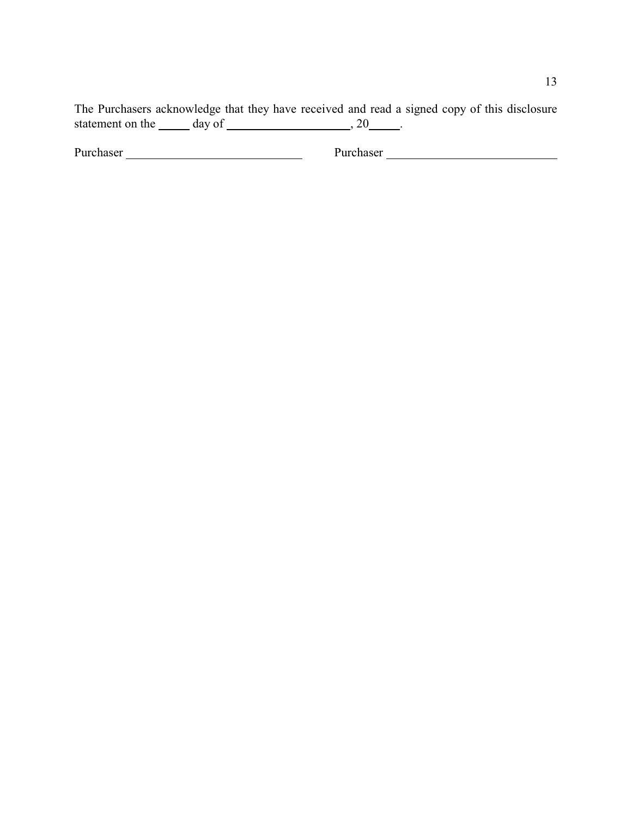The Purchasers acknowledge that they have received and read a signed copy of this disclosure statement on the  $\_\_\_$  day of  $\_\_\_\_\_\_\_\_\$ . 20  $\_\_\_\_\.\$ 

Purchaser Purchaser Purchaser Purchaser Purchaser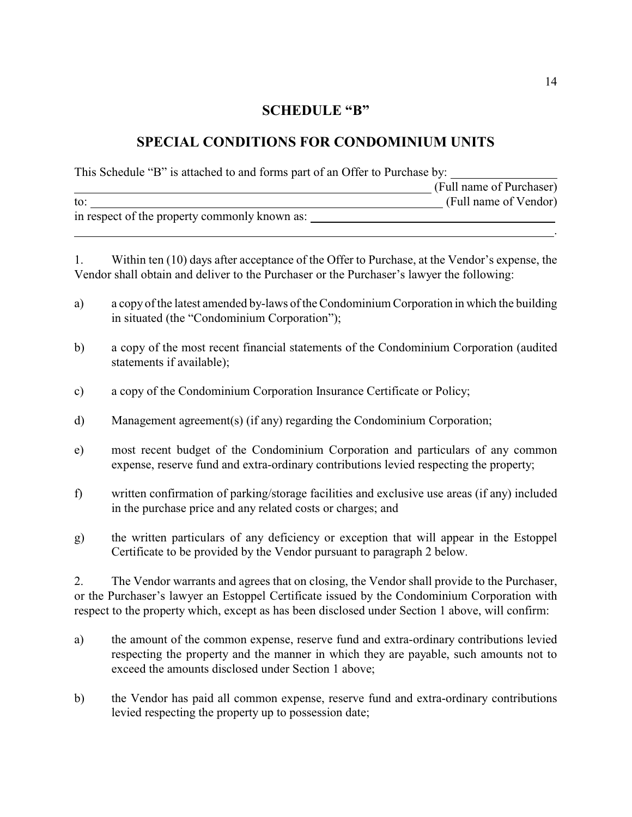#### **SCHEDULE "B"**

# **SPECIAL CONDITIONS FOR CONDOMINIUM UNITS**

This Schedule "B" is attached to and forms part of an Offer to Purchase by:

|                                               | (Full name of Purchaser) |
|-----------------------------------------------|--------------------------|
| to:                                           | (Full name of Vendor)    |
| in respect of the property commonly known as: |                          |
|                                               |                          |

1. Within ten (10) days after acceptance of the Offer to Purchase, at the Vendor's expense, the Vendor shall obtain and deliver to the Purchaser or the Purchaser's lawyer the following:

- a) a copy of the latest amended by-laws of the Condominium Corporation in which the building in situated (the "Condominium Corporation");
- b) a copy of the most recent financial statements of the Condominium Corporation (audited statements if available);
- c) a copy of the Condominium Corporation Insurance Certificate or Policy;
- d) Management agreement(s) (if any) regarding the Condominium Corporation;
- e) most recent budget of the Condominium Corporation and particulars of any common expense, reserve fund and extra-ordinary contributions levied respecting the property;
- f) written confirmation of parking/storage facilities and exclusive use areas (if any) included in the purchase price and any related costs or charges; and
- g) the written particulars of any deficiency or exception that will appear in the Estoppel Certificate to be provided by the Vendor pursuant to paragraph 2 below.

2. The Vendor warrants and agrees that on closing, the Vendor shall provide to the Purchaser, or the Purchaser's lawyer an Estoppel Certificate issued by the Condominium Corporation with respect to the property which, except as has been disclosed under Section 1 above, will confirm:

- a) the amount of the common expense, reserve fund and extra-ordinary contributions levied respecting the property and the manner in which they are payable, such amounts not to exceed the amounts disclosed under Section 1 above;
- b) the Vendor has paid all common expense, reserve fund and extra-ordinary contributions levied respecting the property up to possession date;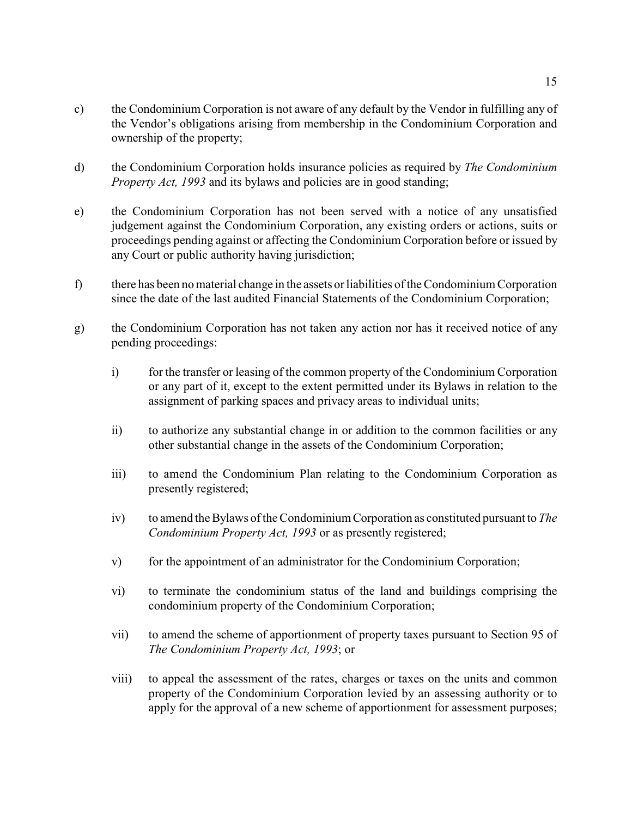- c) the Condominium Corporation is not aware of any default by the Vendor in fulfilling any of the Vendor's obligations arising from membership in the Condominium Corporation and ownership of the property;
- d) the Condominium Corporation holds insurance policies as required by *The Condominium Property Act, 1993* and its bylaws and policies are in good standing;
- e) the Condominium Corporation has not been served with a notice of any unsatisfied judgement against the Condominium Corporation, any existing orders or actions, suits or proceedings pending against or affecting the Condominium Corporation before or issued by any Court or public authority having jurisdiction;
- f) there has been no material change in the assets or liabilities of the Condominium Corporation since the date of the last audited Financial Statements of the Condominium Corporation;
- g) the Condominium Corporation has not taken any action nor has it received notice of any pending proceedings:
	- i) for the transfer or leasing of the common property of the Condominium Corporation or any part of it, except to the extent permitted under its Bylaws in relation to the assignment of parking spaces and privacy areas to individual units;
	- ii) to authorize any substantial change in or addition to the common facilities or any other substantial change in the assets of the Condominium Corporation;
	- iii) to amend the Condominium Plan relating to the Condominium Corporation as presently registered;
	- iv) to amend the Bylaws of the Condominium Corporation as constituted pursuant to *The Condominium Property Act, 1993* or as presently registered;
	- v) for the appointment of an administrator for the Condominium Corporation;
	- vi) to terminate the condominium status of the land and buildings comprising the condominium property of the Condominium Corporation;
	- vii) to amend the scheme of apportionment of property taxes pursuant to Section 95 of *The Condominium Property Act, 1993*; or
	- viii) to appeal the assessment of the rates, charges or taxes on the units and common property of the Condominium Corporation levied by an assessing authority or to apply for the approval of a new scheme of apportionment for assessment purposes;